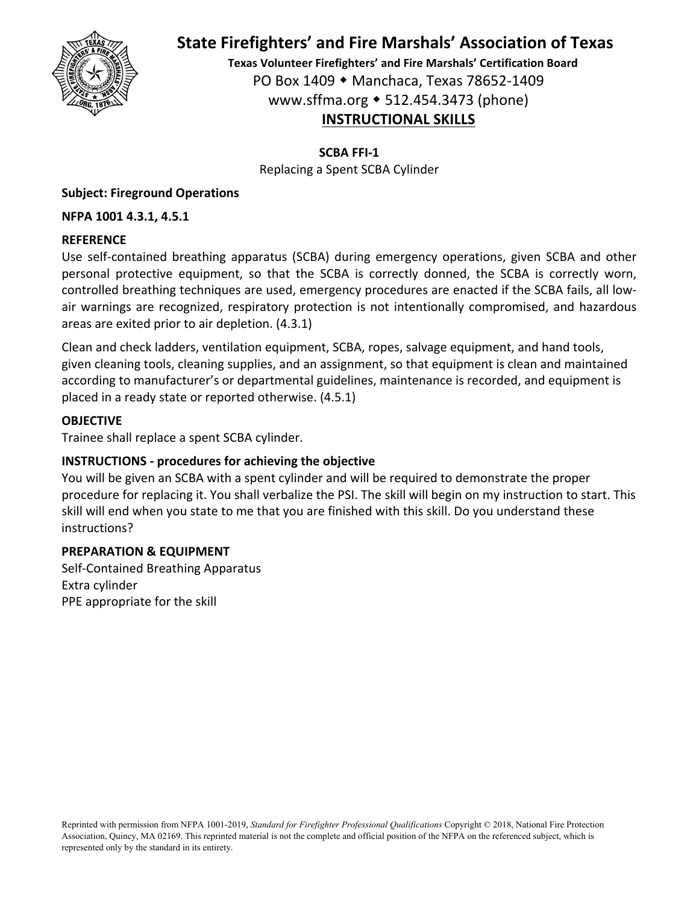

**Texas Volunteer Firefighters' and Fire Marshals' Certification Board** PO Box 1409 Manchaca, Texas 78652‐1409 www.sffma.org 512.454.3473 (phone) **INSTRUCTIONAL SKILLS**

**SCBA FFI‐1**

Replacing a Spent SCBA Cylinder

# **Subject: Fireground Operations**

# **NFPA 1001 4.3.1, 4.5.1**

# **REFERENCE**

Use self‐contained breathing apparatus (SCBA) during emergency operations, given SCBA and other personal protective equipment, so that the SCBA is correctly donned, the SCBA is correctly worn, controlled breathing techniques are used, emergency procedures are enacted if the SCBA fails, all low‐ air warnings are recognized, respiratory protection is not intentionally compromised, and hazardous areas are exited prior to air depletion. (4.3.1)

Clean and check ladders, ventilation equipment, SCBA, ropes, salvage equipment, and hand tools, given cleaning tools, cleaning supplies, and an assignment, so that equipment is clean and maintained according to manufacturer's or departmental guidelines, maintenance is recorded, and equipment is placed in a ready state or reported otherwise. (4.5.1)

# **OBJECTIVE**

Trainee shall replace a spent SCBA cylinder.

# **INSTRUCTIONS ‐ procedures for achieving the objective**

You will be given an SCBA with a spent cylinder and will be required to demonstrate the proper procedure for replacing it. You shall verbalize the PSI. The skill will begin on my instruction to start. This skill will end when you state to me that you are finished with this skill. Do you understand these instructions?

# **PREPARATION & EQUIPMENT**

Self‐Contained Breathing Apparatus Extra cylinder PPE appropriate for the skill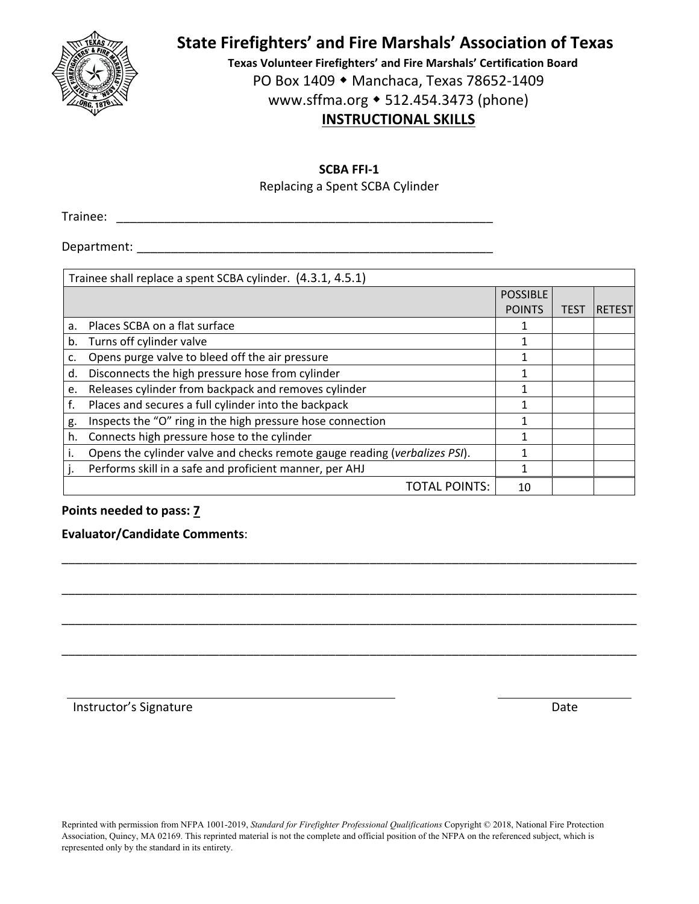

**Texas Volunteer Firefighters' and Fire Marshals' Certification Board** PO Box 1409 ◆ Manchaca, Texas 78652-1409 www.sffma.org 512.454.3473 (phone) **INSTRUCTIONAL SKILLS**

#### **SCBA FFI‐1**

Replacing a Spent SCBA Cylinder

Trainee: \_\_\_\_\_\_\_\_\_\_\_\_\_\_\_\_\_\_\_\_\_\_\_\_\_\_\_\_\_\_\_\_\_\_\_\_\_\_\_\_\_\_\_\_\_\_\_\_\_\_\_\_\_\_\_

Department: \_\_\_\_\_\_\_\_\_\_\_\_\_\_\_\_\_\_\_\_\_\_\_\_\_\_\_\_\_\_\_\_\_\_\_\_\_\_\_\_\_\_\_\_\_\_\_\_\_\_\_\_

|    | Trainee shall replace a spent SCBA cylinder. (4.3.1, 4.5.1)                |                 |      |               |  |  |
|----|----------------------------------------------------------------------------|-----------------|------|---------------|--|--|
|    |                                                                            | <b>POSSIBLE</b> |      |               |  |  |
|    |                                                                            | <b>POINTS</b>   | TEST | <b>RETEST</b> |  |  |
| a. | Places SCBA on a flat surface                                              |                 |      |               |  |  |
| b. | Turns off cylinder valve                                                   | 1               |      |               |  |  |
| c. | Opens purge valve to bleed off the air pressure                            |                 |      |               |  |  |
| d. | Disconnects the high pressure hose from cylinder                           | 1               |      |               |  |  |
| e. | Releases cylinder from backpack and removes cylinder                       | 1               |      |               |  |  |
| f. | Places and secures a full cylinder into the backpack                       |                 |      |               |  |  |
| g. | Inspects the "O" ring in the high pressure hose connection                 | 1               |      |               |  |  |
| h. | Connects high pressure hose to the cylinder                                |                 |      |               |  |  |
|    | Opens the cylinder valve and checks remote gauge reading (verbalizes PSI). |                 |      |               |  |  |
|    | Performs skill in a safe and proficient manner, per AHJ                    | 1               |      |               |  |  |
|    | <b>TOTAL POINTS:</b>                                                       | 10              |      |               |  |  |

\_\_\_\_\_\_\_\_\_\_\_\_\_\_\_\_\_\_\_\_\_\_\_\_\_\_\_\_\_\_\_\_\_\_\_\_\_\_\_\_\_\_\_\_\_\_\_\_\_\_\_\_\_\_\_\_\_\_\_\_\_\_\_\_\_\_\_\_\_\_\_\_\_\_\_\_\_\_\_\_\_\_\_\_

\_\_\_\_\_\_\_\_\_\_\_\_\_\_\_\_\_\_\_\_\_\_\_\_\_\_\_\_\_\_\_\_\_\_\_\_\_\_\_\_\_\_\_\_\_\_\_\_\_\_\_\_\_\_\_\_\_\_\_\_\_\_\_\_\_\_\_\_\_\_\_\_\_\_\_\_\_\_\_\_\_\_\_\_

\_\_\_\_\_\_\_\_\_\_\_\_\_\_\_\_\_\_\_\_\_\_\_\_\_\_\_\_\_\_\_\_\_\_\_\_\_\_\_\_\_\_\_\_\_\_\_\_\_\_\_\_\_\_\_\_\_\_\_\_\_\_\_\_\_\_\_\_\_\_\_\_\_\_\_\_\_\_\_\_\_\_\_\_

\_\_\_\_\_\_\_\_\_\_\_\_\_\_\_\_\_\_\_\_\_\_\_\_\_\_\_\_\_\_\_\_\_\_\_\_\_\_\_\_\_\_\_\_\_\_\_\_\_\_\_\_\_\_\_\_\_\_\_\_\_\_\_\_\_\_\_\_\_\_\_\_\_\_\_\_\_\_\_\_\_\_\_\_

#### **Points needed to pass: 7**

#### **Evaluator/Candidate Comments**:

Instructor's Signature **Date Date Date Date Date Date Date Date Date**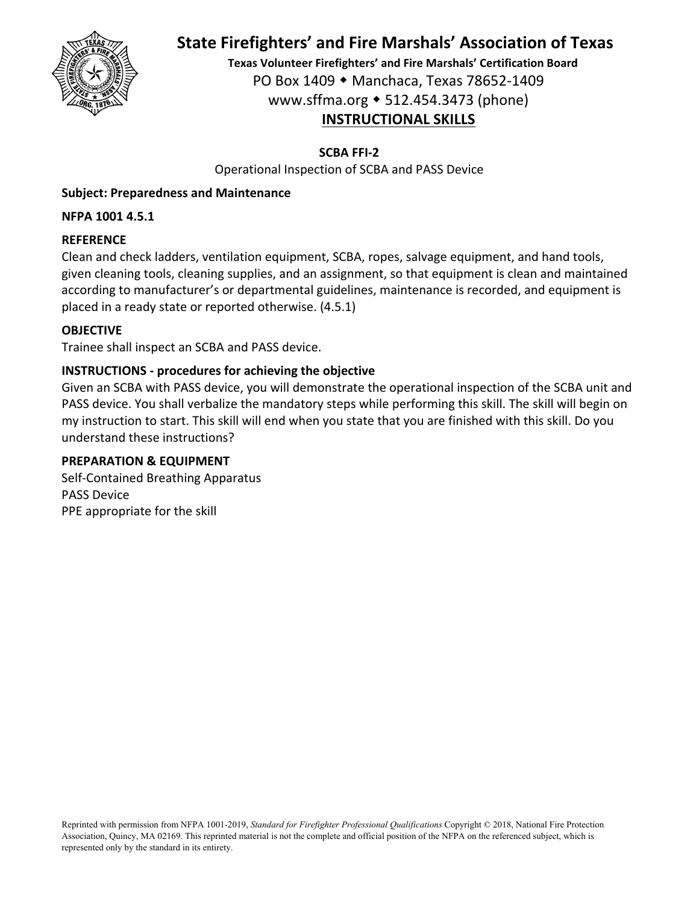

**Texas Volunteer Firefighters' and Fire Marshals' Certification Board** PO Box 1409 Manchaca, Texas 78652‐1409 www.sffma.org 512.454.3473 (phone) **INSTRUCTIONAL SKILLS**

## **SCBA FFI‐2**

Operational Inspection of SCBA and PASS Device

### **Subject: Preparedness and Maintenance**

### **NFPA 1001 4.5.1**

### **REFERENCE**

Clean and check ladders, ventilation equipment, SCBA, ropes, salvage equipment, and hand tools, given cleaning tools, cleaning supplies, and an assignment, so that equipment is clean and maintained according to manufacturer's or departmental guidelines, maintenance is recorded, and equipment is placed in a ready state or reported otherwise. (4.5.1)

### **OBJECTIVE**

Trainee shall inspect an SCBA and PASS device.

# **INSTRUCTIONS ‐ procedures for achieving the objective**

Given an SCBA with PASS device, you will demonstrate the operational inspection of the SCBA unit and PASS device. You shall verbalize the mandatory steps while performing this skill. The skill will begin on my instruction to start. This skill will end when you state that you are finished with this skill. Do you understand these instructions?

#### **PREPARATION & EQUIPMENT**

Self‐Contained Breathing Apparatus PASS Device PPE appropriate for the skill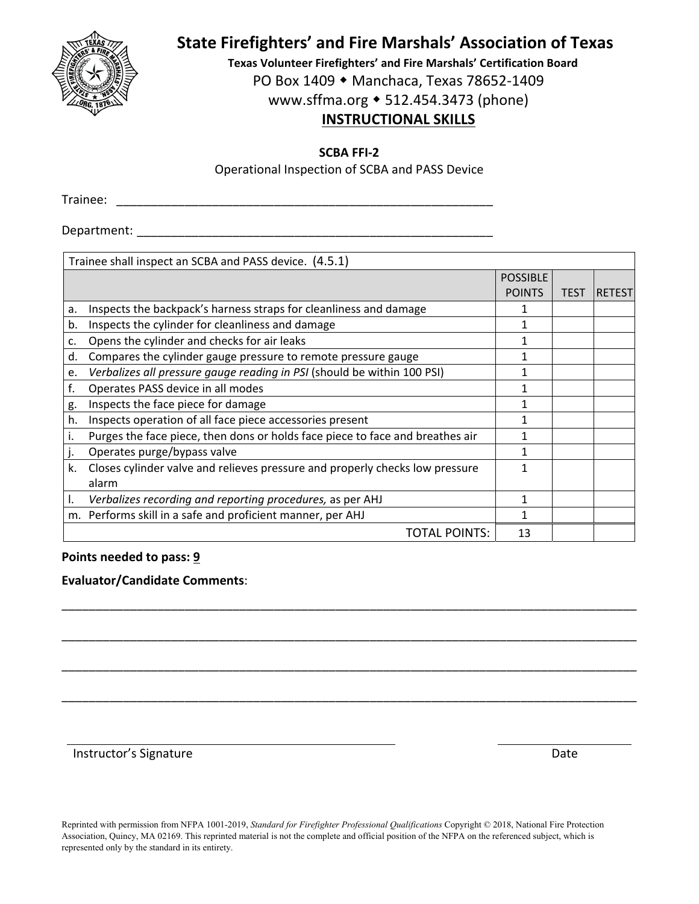

**Texas Volunteer Firefighters' and Fire Marshals' Certification Board** PO Box 1409 ◆ Manchaca, Texas 78652-1409

www.sffma.org 512.454.3473 (phone)

# **INSTRUCTIONAL SKILLS**

**SCBA FFI‐2**

Operational Inspection of SCBA and PASS Device

Trainee: \_\_\_\_\_\_\_\_\_\_\_\_\_\_\_\_\_\_\_\_\_\_\_\_\_\_\_\_\_\_\_\_\_\_\_\_\_\_\_\_\_\_\_\_\_\_\_\_\_\_\_\_\_\_\_

Department:  $\blacksquare$ 

|    | Trainee shall inspect an SCBA and PASS device. (4.5.1)                        |                 |             |               |
|----|-------------------------------------------------------------------------------|-----------------|-------------|---------------|
|    |                                                                               | <b>POSSIBLE</b> |             |               |
|    |                                                                               | <b>POINTS</b>   | <b>TEST</b> | <b>RETEST</b> |
| a. | Inspects the backpack's harness straps for cleanliness and damage             |                 |             |               |
| b. | Inspects the cylinder for cleanliness and damage                              | 1               |             |               |
| c. | Opens the cylinder and checks for air leaks                                   | 1               |             |               |
| d. | Compares the cylinder gauge pressure to remote pressure gauge                 | 1               |             |               |
| e. | Verbalizes all pressure gauge reading in PSI (should be within 100 PSI)       | 1               |             |               |
| f. | Operates PASS device in all modes                                             | 1               |             |               |
| g. | Inspects the face piece for damage                                            | 1               |             |               |
| h. | Inspects operation of all face piece accessories present                      |                 |             |               |
| ۱. | Purges the face piece, then dons or holds face piece to face and breathes air |                 |             |               |
|    | Operates purge/bypass valve                                                   |                 |             |               |
| k. | Closes cylinder valve and relieves pressure and properly checks low pressure  |                 |             |               |
|    | alarm                                                                         |                 |             |               |
| Ι. | Verbalizes recording and reporting procedures, as per AHJ                     |                 |             |               |
|    | m. Performs skill in a safe and proficient manner, per AHJ                    |                 |             |               |
|    | <b>TOTAL POINTS:</b>                                                          | 13              |             |               |

\_\_\_\_\_\_\_\_\_\_\_\_\_\_\_\_\_\_\_\_\_\_\_\_\_\_\_\_\_\_\_\_\_\_\_\_\_\_\_\_\_\_\_\_\_\_\_\_\_\_\_\_\_\_\_\_\_\_\_\_\_\_\_\_\_\_\_\_\_\_\_\_\_\_\_\_\_\_\_\_\_\_\_\_

\_\_\_\_\_\_\_\_\_\_\_\_\_\_\_\_\_\_\_\_\_\_\_\_\_\_\_\_\_\_\_\_\_\_\_\_\_\_\_\_\_\_\_\_\_\_\_\_\_\_\_\_\_\_\_\_\_\_\_\_\_\_\_\_\_\_\_\_\_\_\_\_\_\_\_\_\_\_\_\_\_\_\_\_

\_\_\_\_\_\_\_\_\_\_\_\_\_\_\_\_\_\_\_\_\_\_\_\_\_\_\_\_\_\_\_\_\_\_\_\_\_\_\_\_\_\_\_\_\_\_\_\_\_\_\_\_\_\_\_\_\_\_\_\_\_\_\_\_\_\_\_\_\_\_\_\_\_\_\_\_\_\_\_\_\_\_\_\_

\_\_\_\_\_\_\_\_\_\_\_\_\_\_\_\_\_\_\_\_\_\_\_\_\_\_\_\_\_\_\_\_\_\_\_\_\_\_\_\_\_\_\_\_\_\_\_\_\_\_\_\_\_\_\_\_\_\_\_\_\_\_\_\_\_\_\_\_\_\_\_\_\_\_\_\_\_\_\_\_\_\_\_\_

### **Points needed to pass: 9**

## **Evaluator/Candidate Comments**:

Instructor's Signature **Date**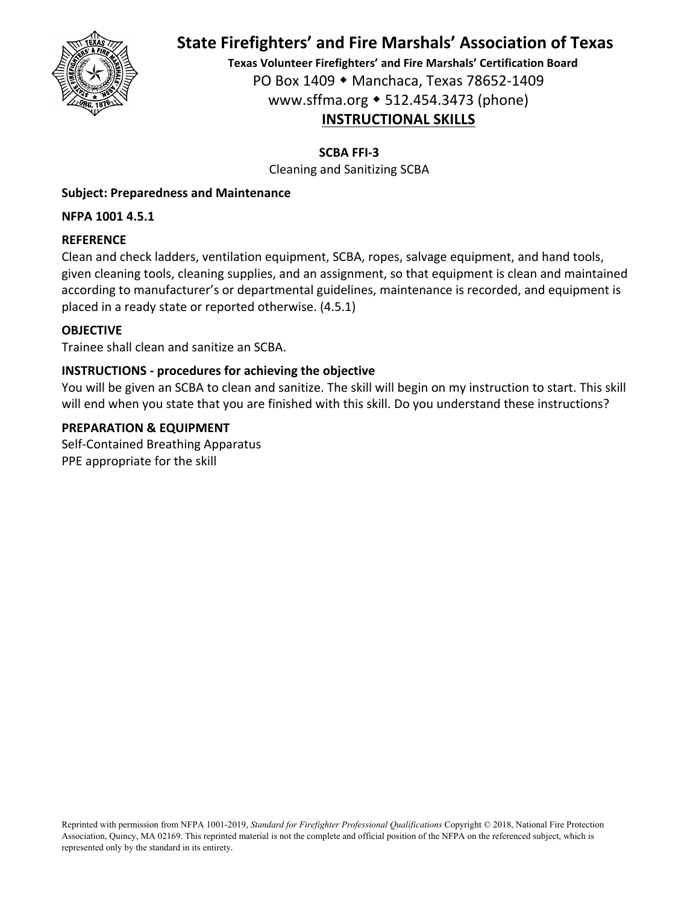

**Texas Volunteer Firefighters' and Fire Marshals' Certification Board** PO Box 1409 Manchaca, Texas 78652‐1409 www.sffma.org 512.454.3473 (phone) **INSTRUCTIONAL SKILLS**

# **SCBA FFI‐3**

Cleaning and Sanitizing SCBA

# **Subject: Preparedness and Maintenance**

**NFPA 1001 4.5.1**

# **REFERENCE**

Clean and check ladders, ventilation equipment, SCBA, ropes, salvage equipment, and hand tools, given cleaning tools, cleaning supplies, and an assignment, so that equipment is clean and maintained according to manufacturer's or departmental guidelines, maintenance is recorded, and equipment is placed in a ready state or reported otherwise. (4.5.1)

# **OBJECTIVE**

Trainee shall clean and sanitize an SCBA.

# **INSTRUCTIONS ‐ procedures for achieving the objective**

You will be given an SCBA to clean and sanitize. The skill will begin on my instruction to start. This skill will end when you state that you are finished with this skill. Do you understand these instructions?

# **PREPARATION & EQUIPMENT**

Self‐Contained Breathing Apparatus PPE appropriate for the skill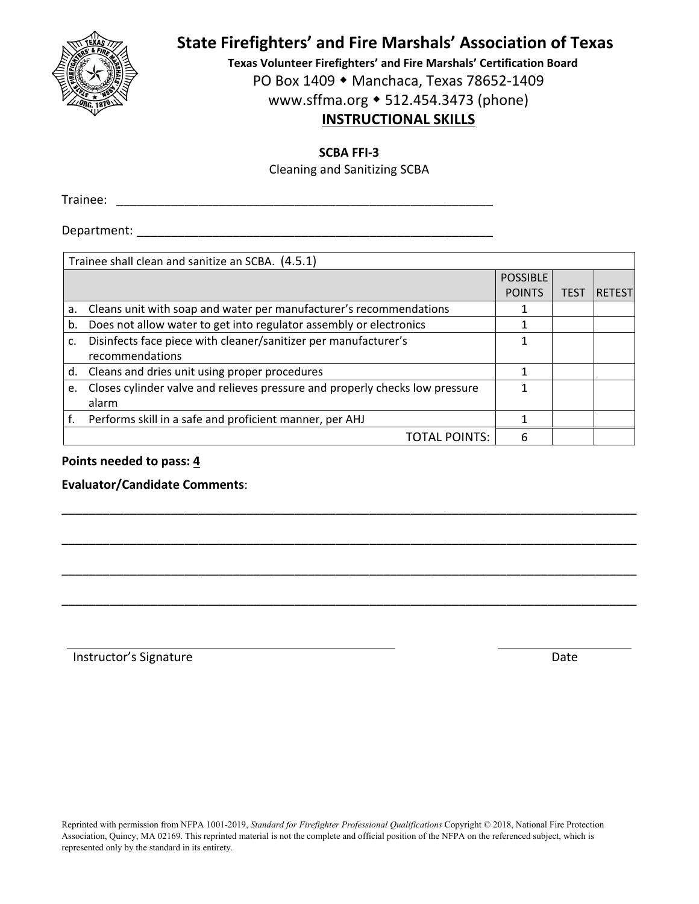

**Texas Volunteer Firefighters' and Fire Marshals' Certification Board** PO Box 1409 ◆ Manchaca, Texas 78652-1409

www.sffma.org 512.454.3473 (phone)

# **INSTRUCTIONAL SKILLS**

#### **SCBA FFI‐3**

Cleaning and Sanitizing SCBA

Trainee: \_\_\_\_\_\_\_\_\_\_\_\_\_\_\_\_\_\_\_\_\_\_\_\_\_\_\_\_\_\_\_\_\_\_\_\_\_\_\_\_\_\_\_\_\_\_\_\_\_\_\_\_\_\_\_

Department:  $\blacksquare$ 

|    | Trainee shall clean and sanitize an SCBA. (4.5.1)                            |                 |             |               |
|----|------------------------------------------------------------------------------|-----------------|-------------|---------------|
|    |                                                                              | <b>POSSIBLE</b> |             |               |
|    |                                                                              | <b>POINTS</b>   | <b>TEST</b> | <b>RETEST</b> |
| a. | Cleans unit with soap and water per manufacturer's recommendations           |                 |             |               |
| b. | Does not allow water to get into regulator assembly or electronics           |                 |             |               |
| c. | Disinfects face piece with cleaner/sanitizer per manufacturer's              |                 |             |               |
|    | recommendations                                                              |                 |             |               |
|    | d. Cleans and dries unit using proper procedures                             |                 |             |               |
| e. | Closes cylinder valve and relieves pressure and properly checks low pressure |                 |             |               |
|    | alarm                                                                        |                 |             |               |
|    | Performs skill in a safe and proficient manner, per AHJ                      |                 |             |               |
|    | <b>TOTAL POINTS:</b>                                                         | 6               |             |               |

\_\_\_\_\_\_\_\_\_\_\_\_\_\_\_\_\_\_\_\_\_\_\_\_\_\_\_\_\_\_\_\_\_\_\_\_\_\_\_\_\_\_\_\_\_\_\_\_\_\_\_\_\_\_\_\_\_\_\_\_\_\_\_\_\_\_\_\_\_\_\_\_\_\_\_\_\_\_\_\_\_\_\_\_

\_\_\_\_\_\_\_\_\_\_\_\_\_\_\_\_\_\_\_\_\_\_\_\_\_\_\_\_\_\_\_\_\_\_\_\_\_\_\_\_\_\_\_\_\_\_\_\_\_\_\_\_\_\_\_\_\_\_\_\_\_\_\_\_\_\_\_\_\_\_\_\_\_\_\_\_\_\_\_\_\_\_\_\_

\_\_\_\_\_\_\_\_\_\_\_\_\_\_\_\_\_\_\_\_\_\_\_\_\_\_\_\_\_\_\_\_\_\_\_\_\_\_\_\_\_\_\_\_\_\_\_\_\_\_\_\_\_\_\_\_\_\_\_\_\_\_\_\_\_\_\_\_\_\_\_\_\_\_\_\_\_\_\_\_\_\_\_\_

\_\_\_\_\_\_\_\_\_\_\_\_\_\_\_\_\_\_\_\_\_\_\_\_\_\_\_\_\_\_\_\_\_\_\_\_\_\_\_\_\_\_\_\_\_\_\_\_\_\_\_\_\_\_\_\_\_\_\_\_\_\_\_\_\_\_\_\_\_\_\_\_\_\_\_\_\_\_\_\_\_\_\_\_

#### **Points needed to pass: 4**

**Evaluator/Candidate Comments**:

Instructor's Signature **Date**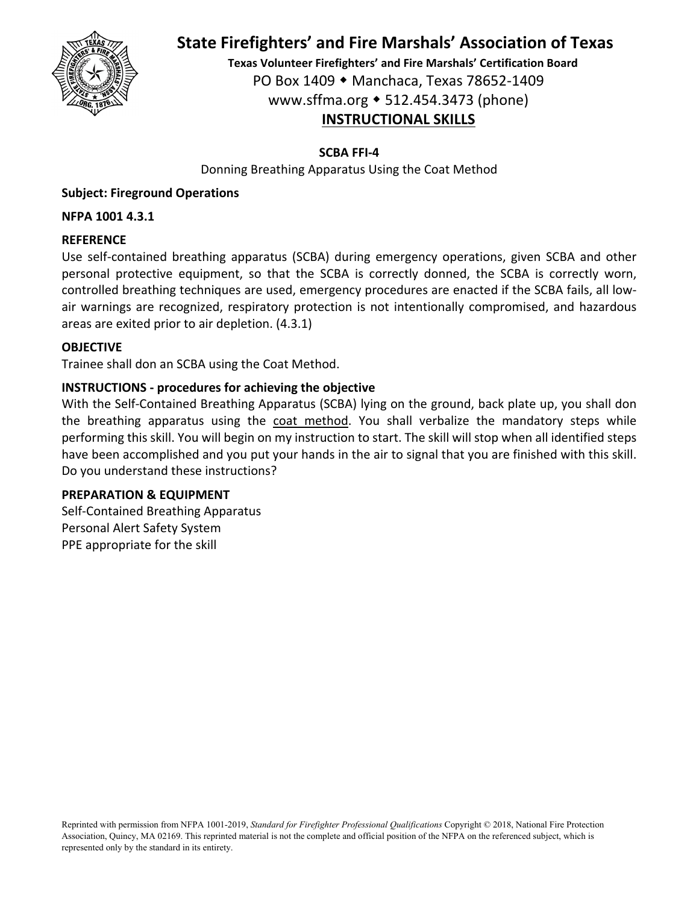

**Texas Volunteer Firefighters' and Fire Marshals' Certification Board** PO Box 1409 Manchaca, Texas 78652‐1409 www.sffma.org 512.454.3473 (phone) **INSTRUCTIONAL SKILLS**

#### **SCBA FFI‐4**

Donning Breathing Apparatus Using the Coat Method

## **Subject: Fireground Operations**

#### **NFPA 1001 4.3.1**

### **REFERENCE**

Use self‐contained breathing apparatus (SCBA) during emergency operations, given SCBA and other personal protective equipment, so that the SCBA is correctly donned, the SCBA is correctly worn, controlled breathing techniques are used, emergency procedures are enacted if the SCBA fails, all low‐ air warnings are recognized, respiratory protection is not intentionally compromised, and hazardous areas are exited prior to air depletion. (4.3.1)

#### **OBJECTIVE**

Trainee shall don an SCBA using the Coat Method.

#### **INSTRUCTIONS ‐ procedures for achieving the objective**

With the Self-Contained Breathing Apparatus (SCBA) lying on the ground, back plate up, you shall don the breathing apparatus using the coat method. You shall verbalize the mandatory steps while performing this skill. You will begin on my instruction to start. The skill will stop when all identified steps have been accomplished and you put your hands in the air to signal that you are finished with this skill. Do you understand these instructions?

#### **PREPARATION & EQUIPMENT**

Self‐Contained Breathing Apparatus Personal Alert Safety System PPE appropriate for the skill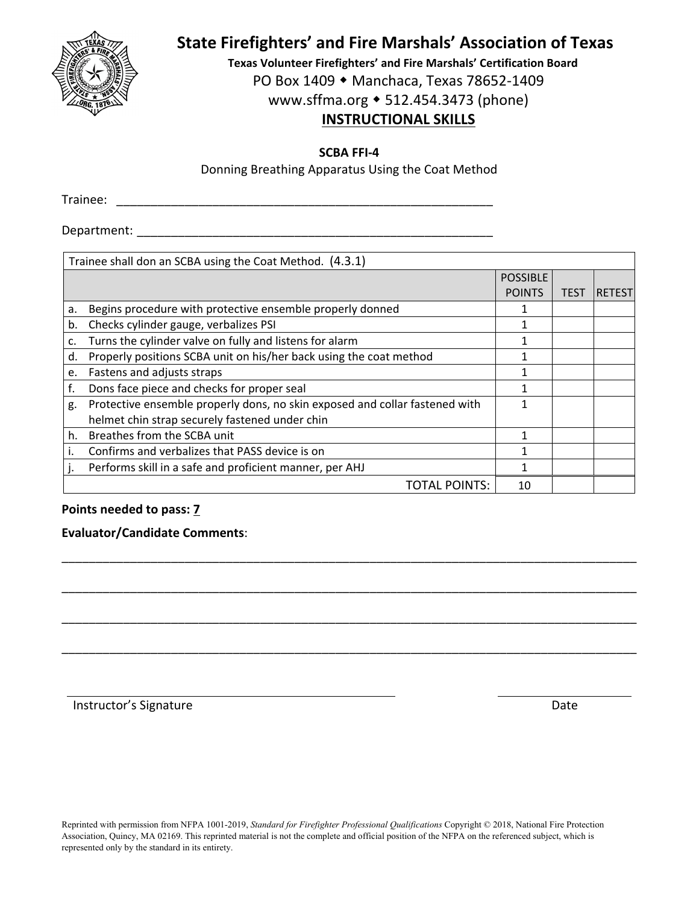

**Texas Volunteer Firefighters' and Fire Marshals' Certification Board** PO Box 1409 ◆ Manchaca, Texas 78652-1409 www.sffma.org 512.454.3473 (phone)

# **INSTRUCTIONAL SKILLS**

**SCBA FFI‐4**

Donning Breathing Apparatus Using the Coat Method

Trainee: \_\_\_\_\_\_\_\_\_\_\_\_\_\_\_\_\_\_\_\_\_\_\_\_\_\_\_\_\_\_\_\_\_\_\_\_\_\_\_\_\_\_\_\_\_\_\_\_\_\_\_\_\_\_\_

Department:  $\blacksquare$ 

|    | Trainee shall don an SCBA using the Coat Method. (4.3.1)                    |                 |             |               |  |
|----|-----------------------------------------------------------------------------|-----------------|-------------|---------------|--|
|    |                                                                             | <b>POSSIBLE</b> |             |               |  |
|    |                                                                             | <b>POINTS</b>   | <b>TEST</b> | <b>RETEST</b> |  |
| a. | Begins procedure with protective ensemble properly donned                   |                 |             |               |  |
| b. | Checks cylinder gauge, verbalizes PSI                                       | 1               |             |               |  |
| c. | Turns the cylinder valve on fully and listens for alarm                     |                 |             |               |  |
| d. | Properly positions SCBA unit on his/her back using the coat method          |                 |             |               |  |
| e. | Fastens and adjusts straps                                                  | 1               |             |               |  |
| f. | Dons face piece and checks for proper seal                                  |                 |             |               |  |
| g. | Protective ensemble properly dons, no skin exposed and collar fastened with |                 |             |               |  |
|    | helmet chin strap securely fastened under chin                              |                 |             |               |  |
| h. | Breathes from the SCBA unit                                                 | 1               |             |               |  |
|    | Confirms and verbalizes that PASS device is on                              |                 |             |               |  |
|    | Performs skill in a safe and proficient manner, per AHJ                     | 1               |             |               |  |
|    | TOTAL POINTS:                                                               | 10              |             |               |  |

\_\_\_\_\_\_\_\_\_\_\_\_\_\_\_\_\_\_\_\_\_\_\_\_\_\_\_\_\_\_\_\_\_\_\_\_\_\_\_\_\_\_\_\_\_\_\_\_\_\_\_\_\_\_\_\_\_\_\_\_\_\_\_\_\_\_\_\_\_\_\_\_\_\_\_\_\_\_\_\_\_\_\_\_

\_\_\_\_\_\_\_\_\_\_\_\_\_\_\_\_\_\_\_\_\_\_\_\_\_\_\_\_\_\_\_\_\_\_\_\_\_\_\_\_\_\_\_\_\_\_\_\_\_\_\_\_\_\_\_\_\_\_\_\_\_\_\_\_\_\_\_\_\_\_\_\_\_\_\_\_\_\_\_\_\_\_\_\_

\_\_\_\_\_\_\_\_\_\_\_\_\_\_\_\_\_\_\_\_\_\_\_\_\_\_\_\_\_\_\_\_\_\_\_\_\_\_\_\_\_\_\_\_\_\_\_\_\_\_\_\_\_\_\_\_\_\_\_\_\_\_\_\_\_\_\_\_\_\_\_\_\_\_\_\_\_\_\_\_\_\_\_\_

\_\_\_\_\_\_\_\_\_\_\_\_\_\_\_\_\_\_\_\_\_\_\_\_\_\_\_\_\_\_\_\_\_\_\_\_\_\_\_\_\_\_\_\_\_\_\_\_\_\_\_\_\_\_\_\_\_\_\_\_\_\_\_\_\_\_\_\_\_\_\_\_\_\_\_\_\_\_\_\_\_\_\_\_

## **Points needed to pass: 7**

#### **Evaluator/Candidate Comments**:

Instructor's Signature **Date**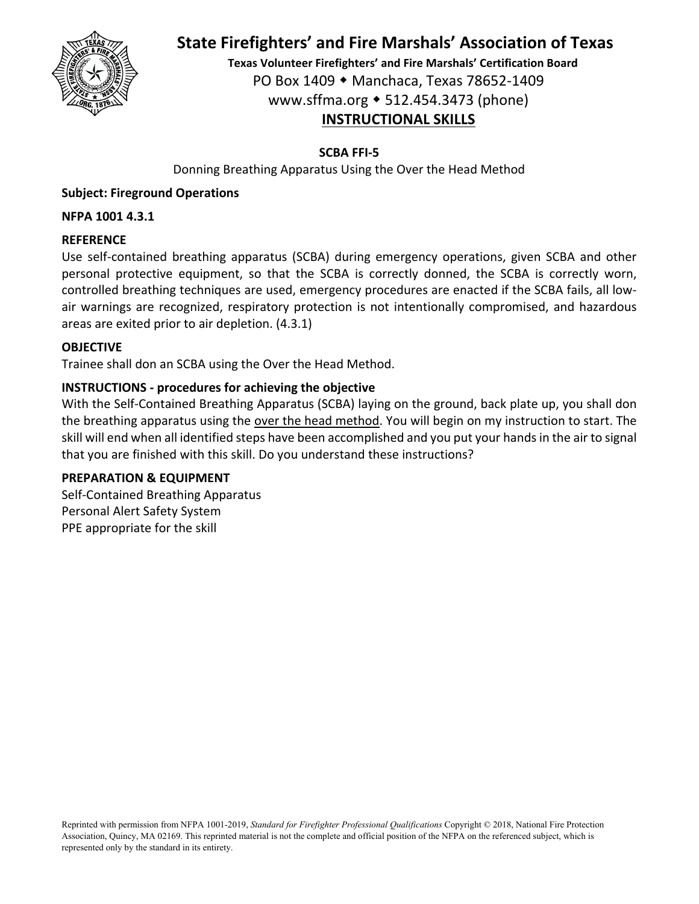

**Texas Volunteer Firefighters' and Fire Marshals' Certification Board** PO Box 1409 Manchaca, Texas 78652‐1409 www.sffma.org 512.454.3473 (phone) **INSTRUCTIONAL SKILLS**

## **SCBA FFI‐5**

Donning Breathing Apparatus Using the Over the Head Method

## **Subject: Fireground Operations**

#### **NFPA 1001 4.3.1**

#### **REFERENCE**

Use self-contained breathing apparatus (SCBA) during emergency operations, given SCBA and other personal protective equipment, so that the SCBA is correctly donned, the SCBA is correctly worn, controlled breathing techniques are used, emergency procedures are enacted if the SCBA fails, all low‐ air warnings are recognized, respiratory protection is not intentionally compromised, and hazardous areas are exited prior to air depletion. (4.3.1)

#### **OBJECTIVE**

Trainee shall don an SCBA using the Over the Head Method.

#### **INSTRUCTIONS ‐ procedures for achieving the objective**

With the Self-Contained Breathing Apparatus (SCBA) laying on the ground, back plate up, you shall don the breathing apparatus using the over the head method. You will begin on my instruction to start. The skill will end when all identified steps have been accomplished and you put your handsin the air to signal that you are finished with this skill. Do you understand these instructions?

#### **PREPARATION & EQUIPMENT**

Self‐Contained Breathing Apparatus Personal Alert Safety System PPE appropriate for the skill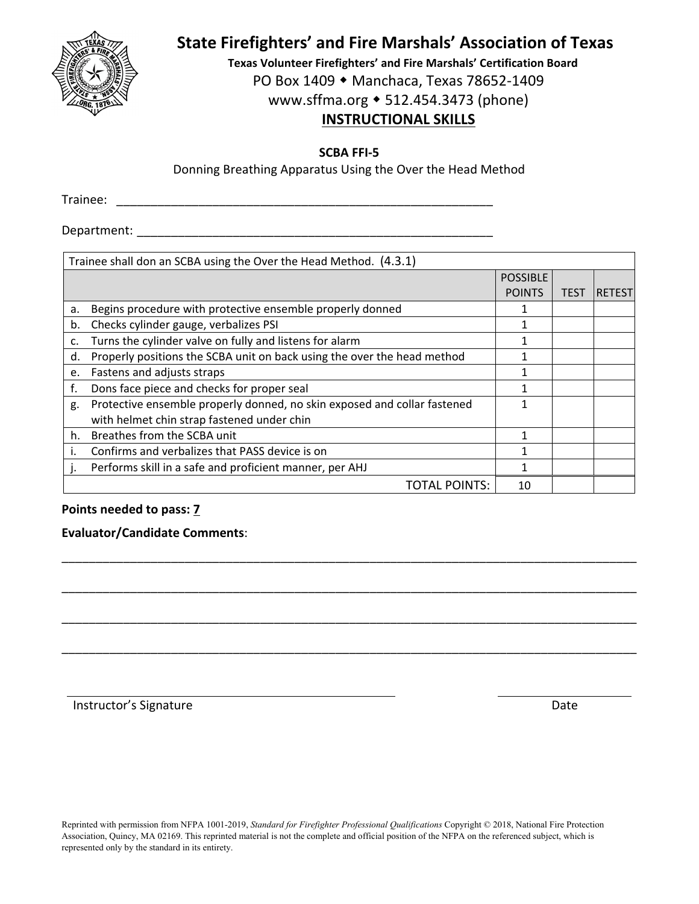

**Texas Volunteer Firefighters' and Fire Marshals' Certification Board** PO Box 1409 ◆ Manchaca, Texas 78652-1409 www.sffma.org 512.454.3473 (phone)

# **INSTRUCTIONAL SKILLS**

**SCBA FFI‐5**

Donning Breathing Apparatus Using the Over the Head Method

Trainee: \_\_\_\_\_\_\_\_\_\_\_\_\_\_\_\_\_\_\_\_\_\_\_\_\_\_\_\_\_\_\_\_\_\_\_\_\_\_\_\_\_\_\_\_\_\_\_\_\_\_\_\_\_\_\_

Department:  $\blacksquare$ 

|    | Trainee shall don an SCBA using the Over the Head Method. (4.3.1)        |                 |             |               |  |
|----|--------------------------------------------------------------------------|-----------------|-------------|---------------|--|
|    |                                                                          | <b>POSSIBLE</b> |             |               |  |
|    |                                                                          | <b>POINTS</b>   | <b>TEST</b> | <b>RETEST</b> |  |
| a. | Begins procedure with protective ensemble properly donned                |                 |             |               |  |
| b. | Checks cylinder gauge, verbalizes PSI                                    | 1               |             |               |  |
| c. | Turns the cylinder valve on fully and listens for alarm                  |                 |             |               |  |
| d. | Properly positions the SCBA unit on back using the over the head method  |                 |             |               |  |
| e. | Fastens and adjusts straps                                               |                 |             |               |  |
| f. | Dons face piece and checks for proper seal                               |                 |             |               |  |
| g. | Protective ensemble properly donned, no skin exposed and collar fastened |                 |             |               |  |
|    | with helmet chin strap fastened under chin                               |                 |             |               |  |
| h. | Breathes from the SCBA unit                                              | 1               |             |               |  |
| I. | Confirms and verbalizes that PASS device is on                           |                 |             |               |  |
|    | Performs skill in a safe and proficient manner, per AHJ                  | 1               |             |               |  |
|    | <b>TOTAL POINTS:</b>                                                     | 10              |             |               |  |

\_\_\_\_\_\_\_\_\_\_\_\_\_\_\_\_\_\_\_\_\_\_\_\_\_\_\_\_\_\_\_\_\_\_\_\_\_\_\_\_\_\_\_\_\_\_\_\_\_\_\_\_\_\_\_\_\_\_\_\_\_\_\_\_\_\_\_\_\_\_\_\_\_\_\_\_\_\_\_\_\_\_\_\_

\_\_\_\_\_\_\_\_\_\_\_\_\_\_\_\_\_\_\_\_\_\_\_\_\_\_\_\_\_\_\_\_\_\_\_\_\_\_\_\_\_\_\_\_\_\_\_\_\_\_\_\_\_\_\_\_\_\_\_\_\_\_\_\_\_\_\_\_\_\_\_\_\_\_\_\_\_\_\_\_\_\_\_\_

\_\_\_\_\_\_\_\_\_\_\_\_\_\_\_\_\_\_\_\_\_\_\_\_\_\_\_\_\_\_\_\_\_\_\_\_\_\_\_\_\_\_\_\_\_\_\_\_\_\_\_\_\_\_\_\_\_\_\_\_\_\_\_\_\_\_\_\_\_\_\_\_\_\_\_\_\_\_\_\_\_\_\_\_

\_\_\_\_\_\_\_\_\_\_\_\_\_\_\_\_\_\_\_\_\_\_\_\_\_\_\_\_\_\_\_\_\_\_\_\_\_\_\_\_\_\_\_\_\_\_\_\_\_\_\_\_\_\_\_\_\_\_\_\_\_\_\_\_\_\_\_\_\_\_\_\_\_\_\_\_\_\_\_\_\_\_\_\_

#### **Points needed to pass: 7**

#### **Evaluator/Candidate Comments**:

Instructor's Signature **Date**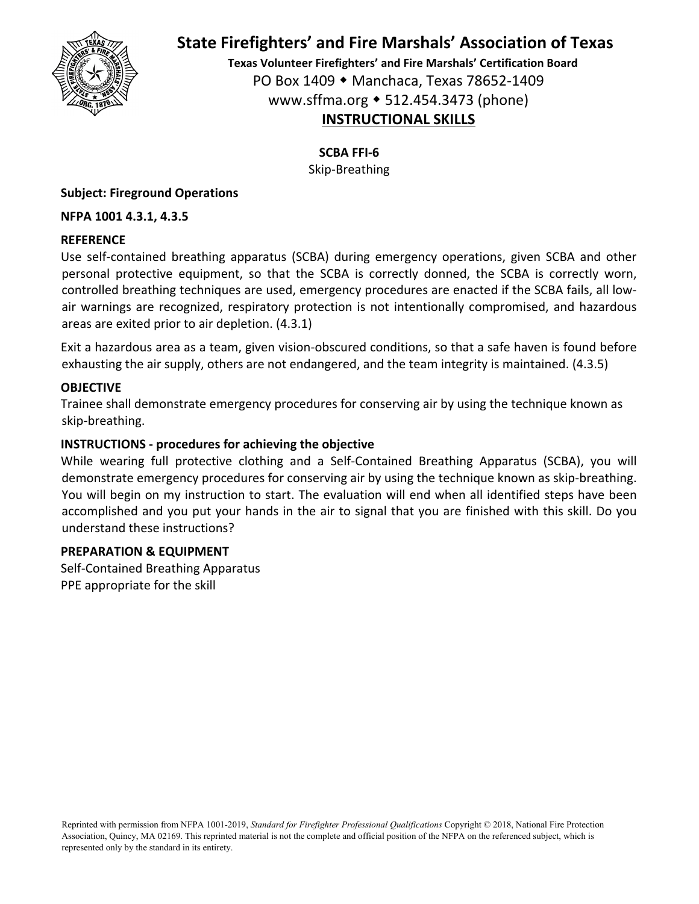

**Texas Volunteer Firefighters' and Fire Marshals' Certification Board** PO Box 1409 Manchaca, Texas 78652‐1409 www.sffma.org 512.454.3473 (phone) **INSTRUCTIONAL SKILLS**

**SCBA FFI‐6**

Skip‐Breathing

#### **Subject: Fireground Operations**

#### **NFPA 1001 4.3.1, 4.3.5**

#### **REFERENCE**

Use self‐contained breathing apparatus (SCBA) during emergency operations, given SCBA and other personal protective equipment, so that the SCBA is correctly donned, the SCBA is correctly worn, controlled breathing techniques are used, emergency procedures are enacted if the SCBA fails, all low‐ air warnings are recognized, respiratory protection is not intentionally compromised, and hazardous areas are exited prior to air depletion. (4.3.1)

Exit a hazardous area as a team, given vision‐obscured conditions, so that a safe haven is found before exhausting the air supply, others are not endangered, and the team integrity is maintained. (4.3.5)

#### **OBJECTIVE**

Trainee shall demonstrate emergency procedures for conserving air by using the technique known as skip‐breathing.

#### **INSTRUCTIONS ‐ procedures for achieving the objective**

While wearing full protective clothing and a Self‐Contained Breathing Apparatus (SCBA), you will demonstrate emergency procedures for conserving air by using the technique known as skip‐breathing. You will begin on my instruction to start. The evaluation will end when all identified steps have been accomplished and you put your hands in the air to signal that you are finished with this skill. Do you understand these instructions?

#### **PREPARATION & EQUIPMENT**

Self‐Contained Breathing Apparatus PPE appropriate for the skill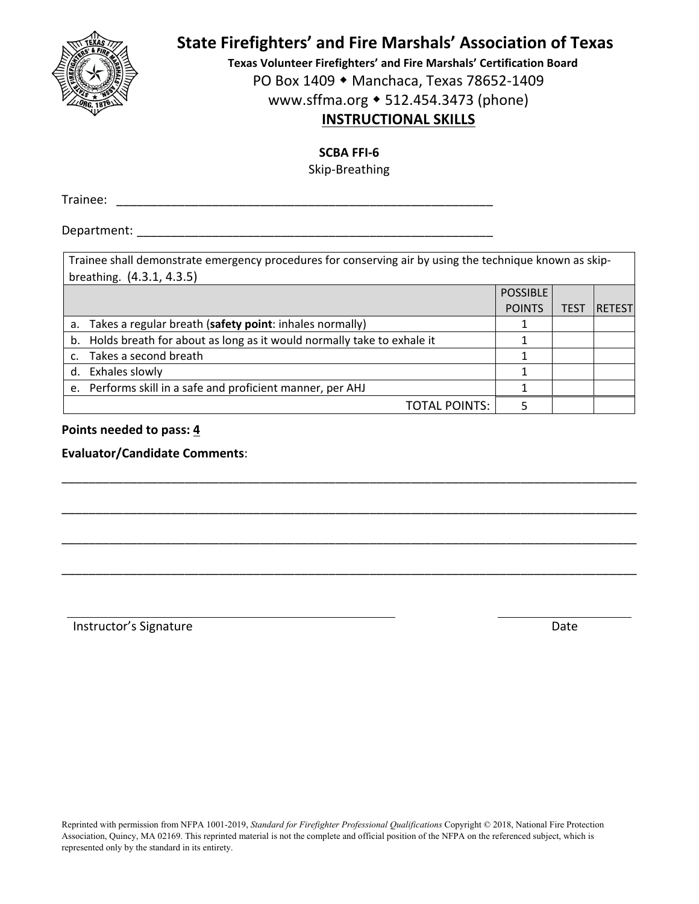

**Texas Volunteer Firefighters' and Fire Marshals' Certification Board**

PO Box 1409 ◆ Manchaca, Texas 78652-1409

www.sffma.org 512.454.3473 (phone)

# **INSTRUCTIONAL SKILLS**

**SCBA FFI‐6**

Skip‐Breathing

Trainee: \_\_\_\_\_\_\_\_\_\_\_\_\_\_\_\_\_\_\_\_\_\_\_\_\_\_\_\_\_\_\_\_\_\_\_\_\_\_\_\_\_\_\_\_\_\_\_\_\_\_\_\_\_\_\_

Department:  $\blacksquare$ 

Trainee shall demonstrate emergency procedures for conserving air by using the technique known as skip‐ breathing. (4.3.1, 4.3.5)

|                                                                          | <b>POSSIBLE</b> |             |               |
|--------------------------------------------------------------------------|-----------------|-------------|---------------|
|                                                                          | <b>POINTS</b>   | <b>TEST</b> | <b>RETEST</b> |
| a. Takes a regular breath (safety point: inhales normally)               |                 |             |               |
| b. Holds breath for about as long as it would normally take to exhale it |                 |             |               |
| c. Takes a second breath                                                 |                 |             |               |
| d. Exhales slowly                                                        |                 |             |               |
| e. Performs skill in a safe and proficient manner, per AHJ               |                 |             |               |
| <b>TOTAL POINTS:</b>                                                     |                 |             |               |

\_\_\_\_\_\_\_\_\_\_\_\_\_\_\_\_\_\_\_\_\_\_\_\_\_\_\_\_\_\_\_\_\_\_\_\_\_\_\_\_\_\_\_\_\_\_\_\_\_\_\_\_\_\_\_\_\_\_\_\_\_\_\_\_\_\_\_\_\_\_\_\_\_\_\_\_\_\_\_\_\_\_\_\_

\_\_\_\_\_\_\_\_\_\_\_\_\_\_\_\_\_\_\_\_\_\_\_\_\_\_\_\_\_\_\_\_\_\_\_\_\_\_\_\_\_\_\_\_\_\_\_\_\_\_\_\_\_\_\_\_\_\_\_\_\_\_\_\_\_\_\_\_\_\_\_\_\_\_\_\_\_\_\_\_\_\_\_\_

\_\_\_\_\_\_\_\_\_\_\_\_\_\_\_\_\_\_\_\_\_\_\_\_\_\_\_\_\_\_\_\_\_\_\_\_\_\_\_\_\_\_\_\_\_\_\_\_\_\_\_\_\_\_\_\_\_\_\_\_\_\_\_\_\_\_\_\_\_\_\_\_\_\_\_\_\_\_\_\_\_\_\_\_

\_\_\_\_\_\_\_\_\_\_\_\_\_\_\_\_\_\_\_\_\_\_\_\_\_\_\_\_\_\_\_\_\_\_\_\_\_\_\_\_\_\_\_\_\_\_\_\_\_\_\_\_\_\_\_\_\_\_\_\_\_\_\_\_\_\_\_\_\_\_\_\_\_\_\_\_\_\_\_\_\_\_\_\_

**Points needed to pass: 4**

#### **Evaluator/Candidate Comments**:

Instructor's Signature **Date**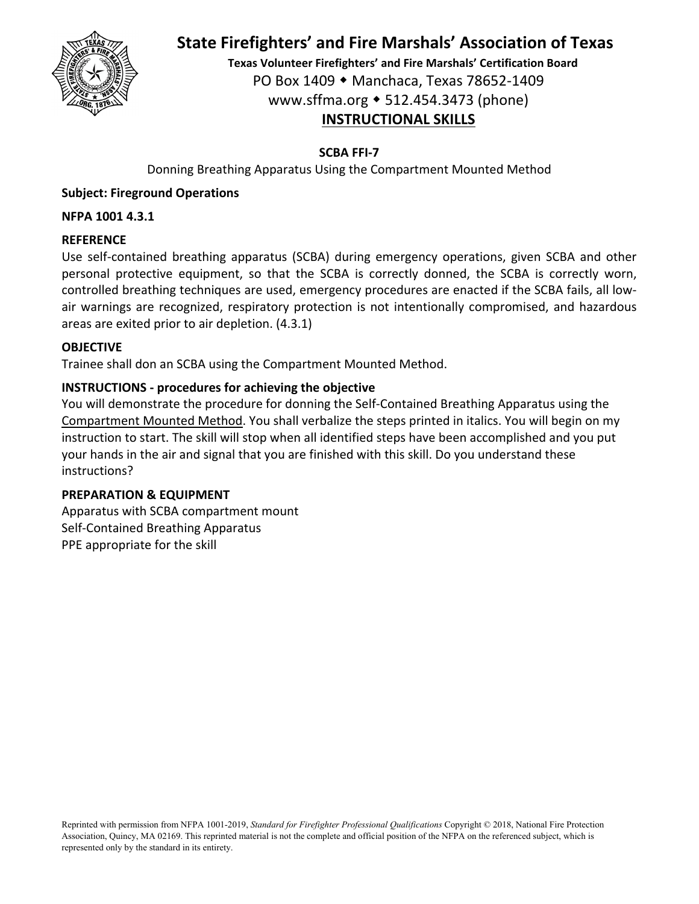

**Texas Volunteer Firefighters' and Fire Marshals' Certification Board** PO Box 1409 Manchaca, Texas 78652‐1409 www.sffma.org 512.454.3473 (phone) **INSTRUCTIONAL SKILLS**

# **SCBA FFI‐7**

Donning Breathing Apparatus Using the Compartment Mounted Method

# **Subject: Fireground Operations**

## **NFPA 1001 4.3.1**

### **REFERENCE**

Use self-contained breathing apparatus (SCBA) during emergency operations, given SCBA and other personal protective equipment, so that the SCBA is correctly donned, the SCBA is correctly worn, controlled breathing techniques are used, emergency procedures are enacted if the SCBA fails, all low‐ air warnings are recognized, respiratory protection is not intentionally compromised, and hazardous areas are exited prior to air depletion. (4.3.1)

#### **OBJECTIVE**

Trainee shall don an SCBA using the Compartment Mounted Method.

### **INSTRUCTIONS ‐ procedures for achieving the objective**

You will demonstrate the procedure for donning the Self‐Contained Breathing Apparatus using the Compartment Mounted Method. You shall verbalize the steps printed in italics. You will begin on my instruction to start. The skill will stop when all identified steps have been accomplished and you put your hands in the air and signal that you are finished with this skill. Do you understand these instructions?

#### **PREPARATION & EQUIPMENT**

Apparatus with SCBA compartment mount Self‐Contained Breathing Apparatus PPE appropriate for the skill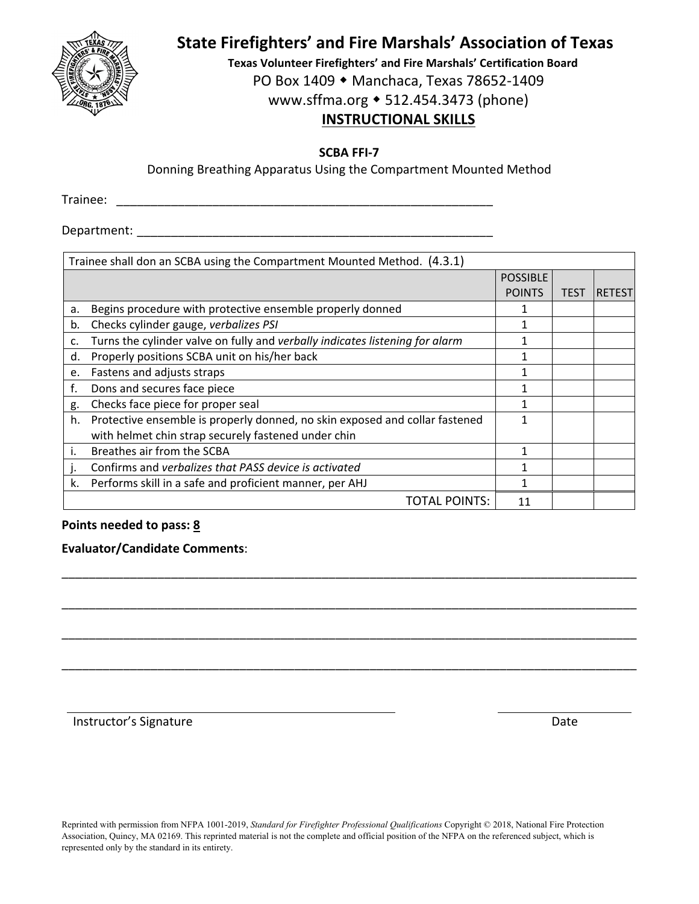

**Texas Volunteer Firefighters' and Fire Marshals' Certification Board** PO Box 1409 ◆ Manchaca, Texas 78652-1409 www.sffma.org 512.454.3473 (phone)

# **INSTRUCTIONAL SKILLS**

**SCBA FFI‐7**

Donning Breathing Apparatus Using the Compartment Mounted Method

Trainee: \_\_\_\_\_\_\_\_\_\_\_\_\_\_\_\_\_\_\_\_\_\_\_\_\_\_\_\_\_\_\_\_\_\_\_\_\_\_\_\_\_\_\_\_\_\_\_\_\_\_\_\_\_\_\_

Department:  $\blacksquare$ 

|    | Trainee shall don an SCBA using the Compartment Mounted Method. (4.3.1)      |                 |      |               |
|----|------------------------------------------------------------------------------|-----------------|------|---------------|
|    |                                                                              | <b>POSSIBLE</b> |      |               |
|    |                                                                              | <b>POINTS</b>   | TEST | <b>RETEST</b> |
| a. | Begins procedure with protective ensemble properly donned                    |                 |      |               |
| b. | Checks cylinder gauge, verbalizes PSI                                        | 1               |      |               |
| c. | Turns the cylinder valve on fully and verbally indicates listening for alarm |                 |      |               |
| d. | Properly positions SCBA unit on his/her back                                 |                 |      |               |
| e. | Fastens and adjusts straps                                                   | 1               |      |               |
| f. | Dons and secures face piece                                                  |                 |      |               |
| g. | Checks face piece for proper seal                                            |                 |      |               |
| h. | Protective ensemble is properly donned, no skin exposed and collar fastened  | 1               |      |               |
|    | with helmet chin strap securely fastened under chin                          |                 |      |               |
| i. | Breathes air from the SCBA                                                   |                 |      |               |
|    | Confirms and verbalizes that PASS device is activated                        |                 |      |               |
| k. | Performs skill in a safe and proficient manner, per AHJ                      |                 |      |               |
|    | <b>TOTAL POINTS:</b>                                                         | 11              |      |               |

\_\_\_\_\_\_\_\_\_\_\_\_\_\_\_\_\_\_\_\_\_\_\_\_\_\_\_\_\_\_\_\_\_\_\_\_\_\_\_\_\_\_\_\_\_\_\_\_\_\_\_\_\_\_\_\_\_\_\_\_\_\_\_\_\_\_\_\_\_\_\_\_\_\_\_\_\_\_\_\_\_\_\_\_

\_\_\_\_\_\_\_\_\_\_\_\_\_\_\_\_\_\_\_\_\_\_\_\_\_\_\_\_\_\_\_\_\_\_\_\_\_\_\_\_\_\_\_\_\_\_\_\_\_\_\_\_\_\_\_\_\_\_\_\_\_\_\_\_\_\_\_\_\_\_\_\_\_\_\_\_\_\_\_\_\_\_\_\_

\_\_\_\_\_\_\_\_\_\_\_\_\_\_\_\_\_\_\_\_\_\_\_\_\_\_\_\_\_\_\_\_\_\_\_\_\_\_\_\_\_\_\_\_\_\_\_\_\_\_\_\_\_\_\_\_\_\_\_\_\_\_\_\_\_\_\_\_\_\_\_\_\_\_\_\_\_\_\_\_\_\_\_\_

\_\_\_\_\_\_\_\_\_\_\_\_\_\_\_\_\_\_\_\_\_\_\_\_\_\_\_\_\_\_\_\_\_\_\_\_\_\_\_\_\_\_\_\_\_\_\_\_\_\_\_\_\_\_\_\_\_\_\_\_\_\_\_\_\_\_\_\_\_\_\_\_\_\_\_\_\_\_\_\_\_\_\_\_

# **Points needed to pass: 8**

# **Evaluator/Candidate Comments**:

Instructor's Signature **Date**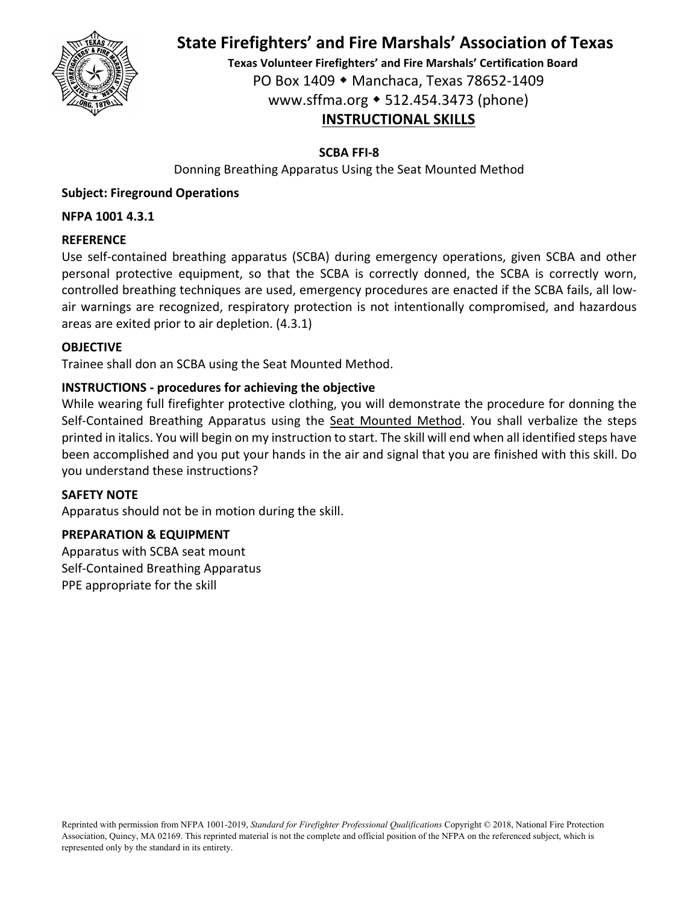

**Texas Volunteer Firefighters' and Fire Marshals' Certification Board** PO Box 1409 Manchaca, Texas 78652‐1409 www.sffma.org 512.454.3473 (phone) **INSTRUCTIONAL SKILLS**

### **SCBA FFI‐8**

Donning Breathing Apparatus Using the Seat Mounted Method

## **Subject: Fireground Operations**

#### **NFPA 1001 4.3.1**

#### **REFERENCE**

Use self-contained breathing apparatus (SCBA) during emergency operations, given SCBA and other personal protective equipment, so that the SCBA is correctly donned, the SCBA is correctly worn, controlled breathing techniques are used, emergency procedures are enacted if the SCBA fails, all low‐ air warnings are recognized, respiratory protection is not intentionally compromised, and hazardous areas are exited prior to air depletion. (4.3.1)

#### **OBJECTIVE**

Trainee shall don an SCBA using the Seat Mounted Method.

#### **INSTRUCTIONS ‐ procedures for achieving the objective**

While wearing full firefighter protective clothing, you will demonstrate the procedure for donning the Self-Contained Breathing Apparatus using the Seat Mounted Method. You shall verbalize the steps printed in italics. You will begin on my instruction to start. The skill will end when all identified steps have been accomplished and you put your hands in the air and signal that you are finished with this skill. Do you understand these instructions?

#### **SAFETY NOTE**

Apparatus should not be in motion during the skill.

#### **PREPARATION & EQUIPMENT**

Apparatus with SCBA seat mount Self‐Contained Breathing Apparatus PPE appropriate for the skill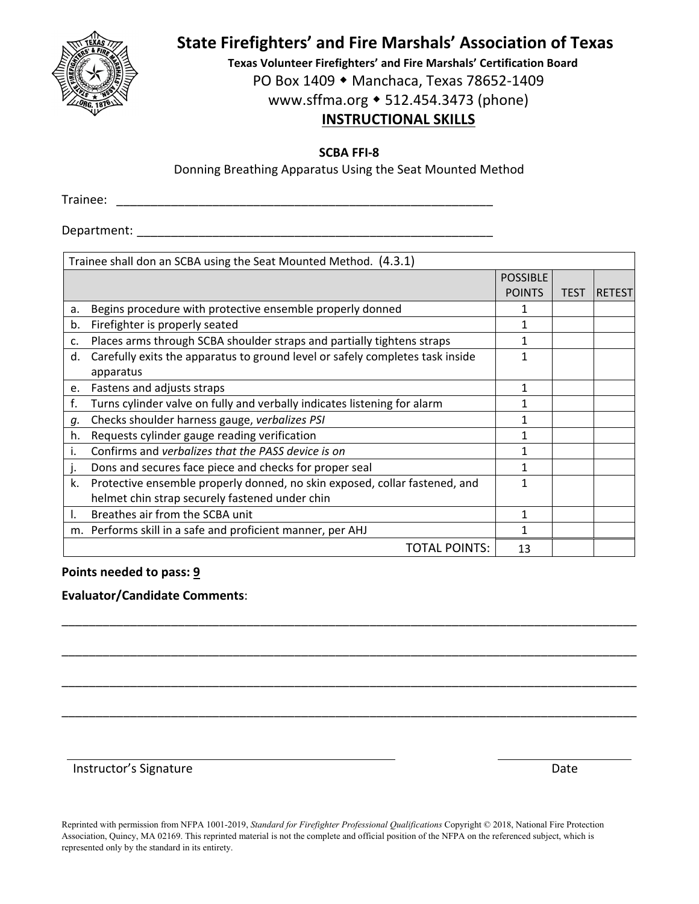

**Texas Volunteer Firefighters' and Fire Marshals' Certification Board** PO Box 1409 ◆ Manchaca, Texas 78652-1409 www.sffma.org 512.454.3473 (phone)

# **INSTRUCTIONAL SKILLS**

**SCBA FFI‐8**

Donning Breathing Apparatus Using the Seat Mounted Method

Trainee: \_\_\_\_\_\_\_\_\_\_\_\_\_\_\_\_\_\_\_\_\_\_\_\_\_\_\_\_\_\_\_\_\_\_\_\_\_\_\_\_\_\_\_\_\_\_\_\_\_\_\_\_\_\_\_

Department:  $\blacksquare$ 

|    | Trainee shall don an SCBA using the Seat Mounted Method. (4.3.1)              |                 |             |                |
|----|-------------------------------------------------------------------------------|-----------------|-------------|----------------|
|    |                                                                               | <b>POSSIBLE</b> |             |                |
|    |                                                                               | <b>POINTS</b>   | <b>TEST</b> | <b>IRETEST</b> |
| a. | Begins procedure with protective ensemble properly donned                     |                 |             |                |
| b. | Firefighter is properly seated                                                |                 |             |                |
| c. | Places arms through SCBA shoulder straps and partially tightens straps        |                 |             |                |
| d. | Carefully exits the apparatus to ground level or safely completes task inside |                 |             |                |
|    | apparatus                                                                     |                 |             |                |
| e. | Fastens and adjusts straps                                                    | 1               |             |                |
| f. | Turns cylinder valve on fully and verbally indicates listening for alarm      |                 |             |                |
| g. | Checks shoulder harness gauge, verbalizes PSI                                 |                 |             |                |
| h. | Requests cylinder gauge reading verification                                  |                 |             |                |
| i. | Confirms and verbalizes that the PASS device is on                            |                 |             |                |
| J. | Dons and secures face piece and checks for proper seal                        |                 |             |                |
| k. | Protective ensemble properly donned, no skin exposed, collar fastened, and    |                 |             |                |
|    | helmet chin strap securely fastened under chin                                |                 |             |                |
|    | Breathes air from the SCBA unit                                               | 1               |             |                |
|    | m. Performs skill in a safe and proficient manner, per AHJ                    |                 |             |                |
|    | TOTAL POINTS:                                                                 | 13              |             |                |

\_\_\_\_\_\_\_\_\_\_\_\_\_\_\_\_\_\_\_\_\_\_\_\_\_\_\_\_\_\_\_\_\_\_\_\_\_\_\_\_\_\_\_\_\_\_\_\_\_\_\_\_\_\_\_\_\_\_\_\_\_\_\_\_\_\_\_\_\_\_\_\_\_\_\_\_\_\_\_\_\_\_\_\_

\_\_\_\_\_\_\_\_\_\_\_\_\_\_\_\_\_\_\_\_\_\_\_\_\_\_\_\_\_\_\_\_\_\_\_\_\_\_\_\_\_\_\_\_\_\_\_\_\_\_\_\_\_\_\_\_\_\_\_\_\_\_\_\_\_\_\_\_\_\_\_\_\_\_\_\_\_\_\_\_\_\_\_\_

\_\_\_\_\_\_\_\_\_\_\_\_\_\_\_\_\_\_\_\_\_\_\_\_\_\_\_\_\_\_\_\_\_\_\_\_\_\_\_\_\_\_\_\_\_\_\_\_\_\_\_\_\_\_\_\_\_\_\_\_\_\_\_\_\_\_\_\_\_\_\_\_\_\_\_\_\_\_\_\_\_\_\_\_

\_\_\_\_\_\_\_\_\_\_\_\_\_\_\_\_\_\_\_\_\_\_\_\_\_\_\_\_\_\_\_\_\_\_\_\_\_\_\_\_\_\_\_\_\_\_\_\_\_\_\_\_\_\_\_\_\_\_\_\_\_\_\_\_\_\_\_\_\_\_\_\_\_\_\_\_\_\_\_\_\_\_\_\_

#### **Points needed to pass: 9**

#### **Evaluator/Candidate Comments**:

Instructor's Signature **Date**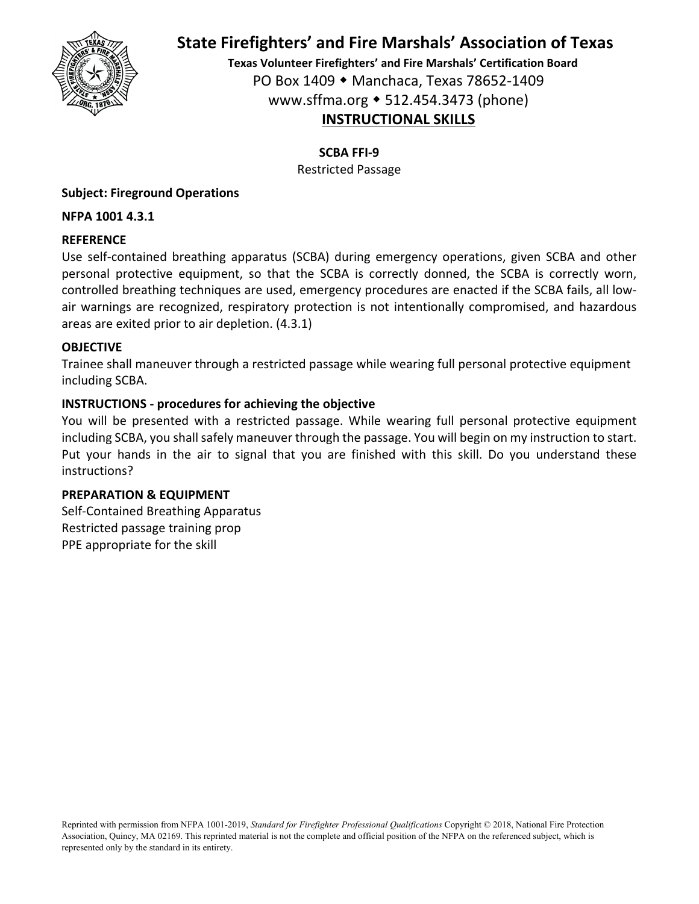

**Texas Volunteer Firefighters' and Fire Marshals' Certification Board** PO Box 1409 Manchaca, Texas 78652‐1409 www.sffma.org 512.454.3473 (phone) **INSTRUCTIONAL SKILLS**

**SCBA FFI‐9**

Restricted Passage

## **Subject: Fireground Operations**

**NFPA 1001 4.3.1**

### **REFERENCE**

Use self‐contained breathing apparatus (SCBA) during emergency operations, given SCBA and other personal protective equipment, so that the SCBA is correctly donned, the SCBA is correctly worn, controlled breathing techniques are used, emergency procedures are enacted if the SCBA fails, all low‐ air warnings are recognized, respiratory protection is not intentionally compromised, and hazardous areas are exited prior to air depletion. (4.3.1)

#### **OBJECTIVE**

Trainee shall maneuver through a restricted passage while wearing full personal protective equipment including SCBA.

### **INSTRUCTIONS ‐ procedures for achieving the objective**

You will be presented with a restricted passage. While wearing full personal protective equipment including SCBA, you shall safely maneuver through the passage. You will begin on my instruction to start. Put your hands in the air to signal that you are finished with this skill. Do you understand these instructions?

#### **PREPARATION & EQUIPMENT**

Self‐Contained Breathing Apparatus Restricted passage training prop PPE appropriate for the skill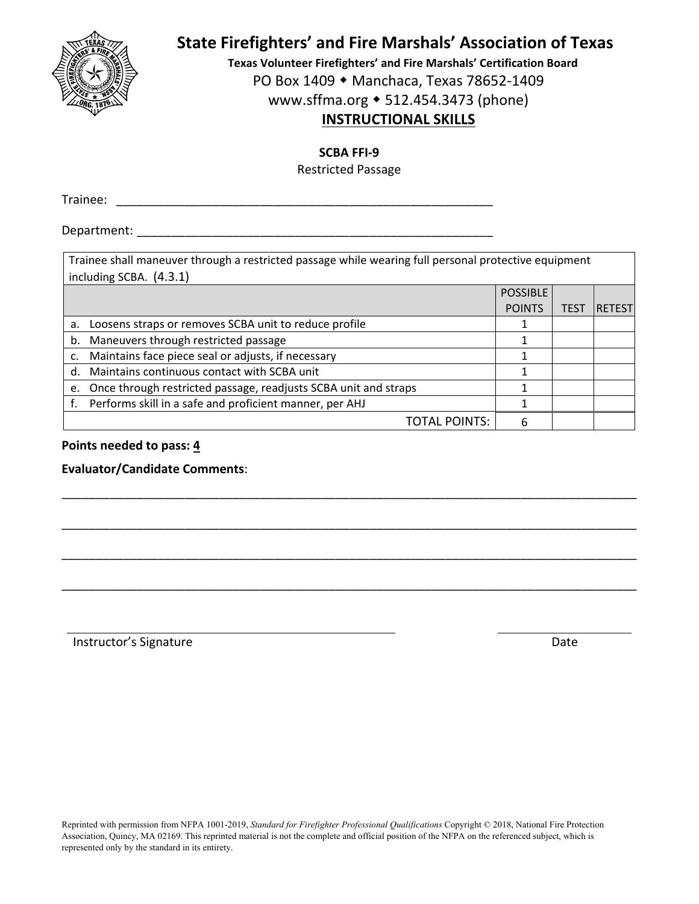

**Texas Volunteer Firefighters' and Fire Marshals' Certification Board**

PO Box 1409 ◆ Manchaca, Texas 78652-1409

www.sffma.org 512.454.3473 (phone)

# **INSTRUCTIONAL SKILLS**

**SCBA FFI‐9**

Restricted Passage

Trainee: \_\_\_\_\_\_\_\_\_\_\_\_\_\_\_\_\_\_\_\_\_\_\_\_\_\_\_\_\_\_\_\_\_\_\_\_\_\_\_\_\_\_\_\_\_\_\_\_\_\_\_\_\_\_\_

Department:  $\blacksquare$ 

Trainee shall maneuver through a restricted passage while wearing full personal protective equipment  $\vert$  including SCBA.  $(4.3.1)$ 

|    |                                                                    | <b>POSSIBLE</b> |                  |               |
|----|--------------------------------------------------------------------|-----------------|------------------|---------------|
|    |                                                                    | <b>POINTS</b>   | TES <sup>-</sup> | <b>RETEST</b> |
| а. | Loosens straps or removes SCBA unit to reduce profile              |                 |                  |               |
|    | b. Maneuvers through restricted passage                            |                 |                  |               |
|    | Maintains face piece seal or adjusts, if necessary                 |                 |                  |               |
|    | d. Maintains continuous contact with SCBA unit                     |                 |                  |               |
|    | e. Once through restricted passage, readjusts SCBA unit and straps |                 |                  |               |
|    | Performs skill in a safe and proficient manner, per AHJ            |                 |                  |               |
|    | <b>TOTAL POINTS:</b>                                               |                 |                  |               |

\_\_\_\_\_\_\_\_\_\_\_\_\_\_\_\_\_\_\_\_\_\_\_\_\_\_\_\_\_\_\_\_\_\_\_\_\_\_\_\_\_\_\_\_\_\_\_\_\_\_\_\_\_\_\_\_\_\_\_\_\_\_\_\_\_\_\_\_\_\_\_\_\_\_\_\_\_\_\_\_\_\_\_\_

\_\_\_\_\_\_\_\_\_\_\_\_\_\_\_\_\_\_\_\_\_\_\_\_\_\_\_\_\_\_\_\_\_\_\_\_\_\_\_\_\_\_\_\_\_\_\_\_\_\_\_\_\_\_\_\_\_\_\_\_\_\_\_\_\_\_\_\_\_\_\_\_\_\_\_\_\_\_\_\_\_\_\_\_

\_\_\_\_\_\_\_\_\_\_\_\_\_\_\_\_\_\_\_\_\_\_\_\_\_\_\_\_\_\_\_\_\_\_\_\_\_\_\_\_\_\_\_\_\_\_\_\_\_\_\_\_\_\_\_\_\_\_\_\_\_\_\_\_\_\_\_\_\_\_\_\_\_\_\_\_\_\_\_\_\_\_\_\_

\_\_\_\_\_\_\_\_\_\_\_\_\_\_\_\_\_\_\_\_\_\_\_\_\_\_\_\_\_\_\_\_\_\_\_\_\_\_\_\_\_\_\_\_\_\_\_\_\_\_\_\_\_\_\_\_\_\_\_\_\_\_\_\_\_\_\_\_\_\_\_\_\_\_\_\_\_\_\_\_\_\_\_\_

#### **Points needed to pass: 4**

**Evaluator/Candidate Comments**:

Instructor's Signature **Date**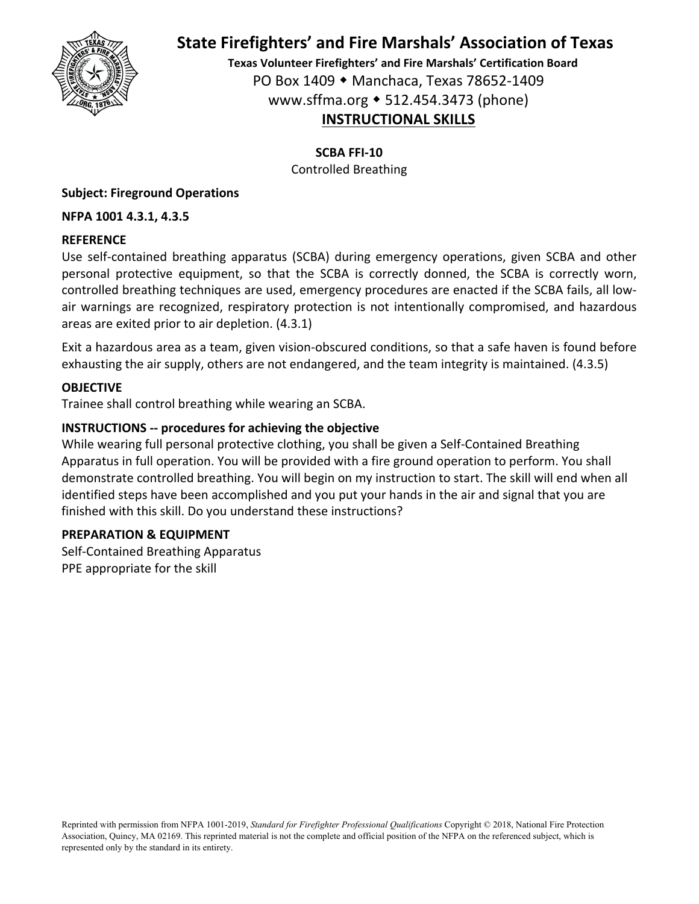

**Texas Volunteer Firefighters' and Fire Marshals' Certification Board** PO Box 1409 Manchaca, Texas 78652‐1409 www.sffma.org 512.454.3473 (phone) **INSTRUCTIONAL SKILLS**

**SCBA FFI‐10**

Controlled Breathing

# **Subject: Fireground Operations**

### **NFPA 1001 4.3.1, 4.3.5**

#### **REFERENCE**

Use self‐contained breathing apparatus (SCBA) during emergency operations, given SCBA and other personal protective equipment, so that the SCBA is correctly donned, the SCBA is correctly worn, controlled breathing techniques are used, emergency procedures are enacted if the SCBA fails, all low‐ air warnings are recognized, respiratory protection is not intentionally compromised, and hazardous areas are exited prior to air depletion. (4.3.1)

Exit a hazardous area as a team, given vision‐obscured conditions, so that a safe haven is found before exhausting the air supply, others are not endangered, and the team integrity is maintained. (4.3.5)

### **OBJECTIVE**

Trainee shall control breathing while wearing an SCBA.

### **INSTRUCTIONS ‐‐ procedures for achieving the objective**

While wearing full personal protective clothing, you shall be given a Self‐Contained Breathing Apparatus in full operation. You will be provided with a fire ground operation to perform. You shall demonstrate controlled breathing. You will begin on my instruction to start. The skill will end when all identified steps have been accomplished and you put your hands in the air and signal that you are finished with this skill. Do you understand these instructions?

#### **PREPARATION & EQUIPMENT**

Self‐Contained Breathing Apparatus PPE appropriate for the skill